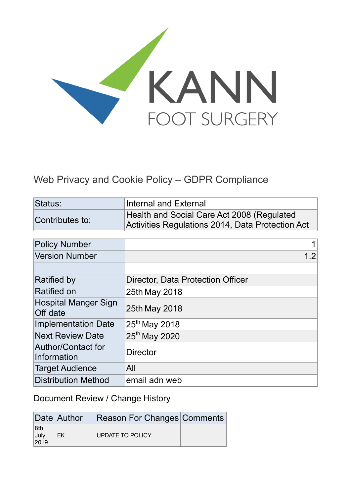

## Web Privacy and Cookie Policy – GDPR Compliance

| Status:                                 | <b>Internal and External</b>                                                                   |  |
|-----------------------------------------|------------------------------------------------------------------------------------------------|--|
| Contributes to:                         | Health and Social Care Act 2008 (Regulated<br>Activities Regulations 2014, Data Protection Act |  |
|                                         |                                                                                                |  |
| <b>Policy Number</b>                    |                                                                                                |  |
| <b>Version Number</b>                   | 1.2                                                                                            |  |
|                                         |                                                                                                |  |
| <b>Ratified by</b>                      | Director, Data Protection Officer                                                              |  |
| <b>Ratified on</b>                      | 25th May 2018                                                                                  |  |
| <b>Hospital Manger Sign</b><br>Off date | 25th May 2018                                                                                  |  |
| <b>Implementation Date</b>              | $25th$ May 2018                                                                                |  |
| <b>Next Review Date</b>                 | 25 <sup>th</sup> May 2020                                                                      |  |
| Author/Contact for<br>Information       | <b>Director</b>                                                                                |  |
| <b>Target Audience</b>                  | All                                                                                            |  |
| <b>Distribution Method</b>              | email adn web                                                                                  |  |

Document Review / Change History

|                     | Date Author | <b>Reason For Changes Comments</b> |  |
|---------------------|-------------|------------------------------------|--|
| 8th<br>July<br>2019 | EK          | UPDATE TO POLICY                   |  |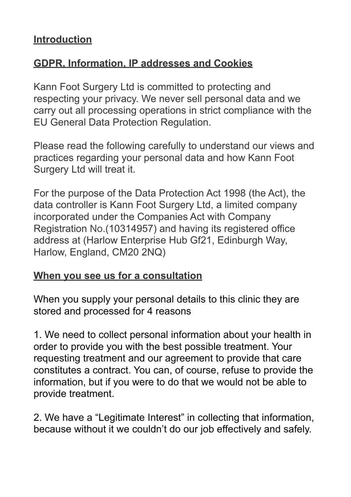## **Introduction**

## **GDPR, Information, IP addresses and Cookies**

Kann Foot Surgery Ltd is committed to protecting and respecting your privacy. We never sell personal data and we carry out all processing operations in strict compliance with the EU General Data Protection Regulation.

Please read the following carefully to understand our views and practices regarding your personal data and how Kann Foot Surgery Ltd will treat it.

For the purpose of the Data Protection Act 1998 (the Act), the data controller is Kann Foot Surgery Ltd, a limited company incorporated under the Companies Act with Company Registration No.(10314957) and having its registered office address at (Harlow Enterprise Hub Gf21, Edinburgh Way, Harlow, England, CM20 2NQ)

#### **When you see us for a consultation**

When you supply your personal details to this clinic they are stored and processed for 4 reasons

1. We need to collect personal information about your health in order to provide you with the best possible treatment. Your requesting treatment and our agreement to provide that care constitutes a contract. You can, of course, refuse to provide the information, but if you were to do that we would not be able to provide treatment.

2. We have a "Legitimate Interest" in collecting that information, because without it we couldn't do our job effectively and safely.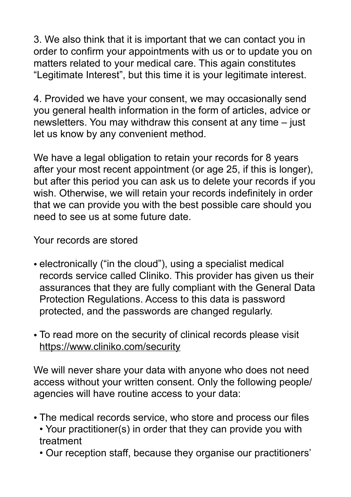3. We also think that it is important that we can contact you in order to confirm your appointments with us or to update you on matters related to your medical care. This again constitutes "Legitimate Interest", but this time it is your legitimate interest.

4. Provided we have your consent, we may occasionally send you general health information in the form of articles, advice or newsletters. You may withdraw this consent at any time – just let us know by any convenient method.

We have a legal obligation to retain your records for 8 years after your most recent appointment (or age 25, if this is longer), but after this period you can ask us to delete your records if you wish. Otherwise, we will retain your records indefinitely in order that we can provide you with the best possible care should you need to see us at some future date.

Your records are stored

- electronically ("in the cloud"), using a specialist medical records service called Cliniko. This provider has given us their assurances that they are fully compliant with the General Data Protection Regulations. Access to this data is password protected, and the passwords are changed regularly.
- To read more on the security of clinical records please visit <https://www.cliniko.com/security>

We will never share your data with anyone who does not need access without your written consent. Only the following people/ agencies will have routine access to your data:

- The medical records service, who store and process our files • Your practitioner(s) in order that they can provide you with
	- treatment
	- Our reception staff, because they organise our practitioners'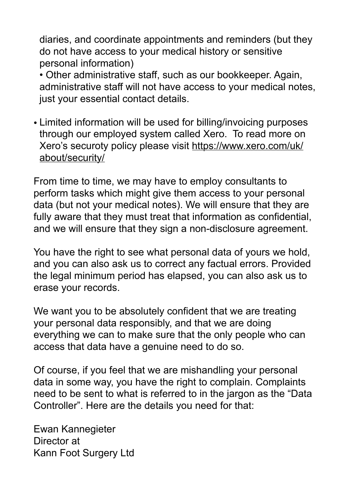diaries, and coordinate appointments and reminders (but they do not have access to your medical history or sensitive personal information)

• Other administrative staff, such as our bookkeeper. Again, administrative staff will not have access to your medical notes, just your essential contact details.

• Limited information will be used for billing/invoicing purposes through our employed system called Xero. To read more on Xero's securoty policy please visit [https://www.xero.com/uk/](https://www.xero.com/uk/about/security/) [about/security/](https://www.xero.com/uk/about/security/)

From time to time, we may have to employ consultants to perform tasks which might give them access to your personal data (but not your medical notes). We will ensure that they are fully aware that they must treat that information as confidential, and we will ensure that they sign a non-disclosure agreement.

You have the right to see what personal data of yours we hold, and you can also ask us to correct any factual errors. Provided the legal minimum period has elapsed, you can also ask us to erase your records.

We want you to be absolutely confident that we are treating your personal data responsibly, and that we are doing everything we can to make sure that the only people who can access that data have a genuine need to do so.

Of course, if you feel that we are mishandling your personal data in some way, you have the right to complain. Complaints need to be sent to what is referred to in the jargon as the "Data Controller". Here are the details you need for that:

Ewan Kannegieter Director at Kann Foot Surgery Ltd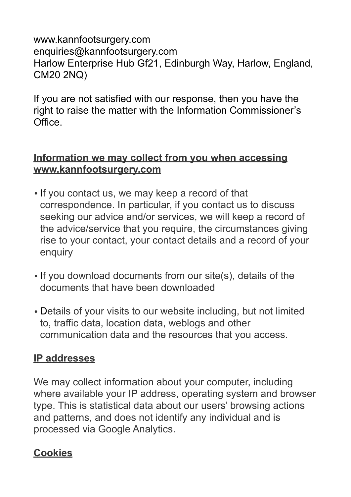#### www.kannfootsurgery.com enquiries@kannfootsurgery.com Harlow Enterprise Hub Gf21, Edinburgh Way, Harlow, England, CM20 2NQ)

If you are not satisfied with our response, then you have the right to raise the matter with the Information Commissioner's Office.

#### **Information we may collect from you when accessing [www.kannfootsurgery.com](http://www.kannfootsurgery.com)**

- If you contact us, we may keep a record of that correspondence. In particular, if you contact us to discuss seeking our advice and/or services, we will keep a record of the advice/service that you require, the circumstances giving rise to your contact, your contact details and a record of your enquiry
- If you download documents from our site(s), details of the documents that have been downloaded
- Details of your visits to our website including, but not limited to, traffic data, location data, weblogs and other communication data and the resources that you access.

## **IP addresses**

We may collect information about your computer, including where available your IP address, operating system and browser type. This is statistical data about our users' browsing actions and patterns, and does not identify any individual and is processed via Google Analytics.

# **Cookies**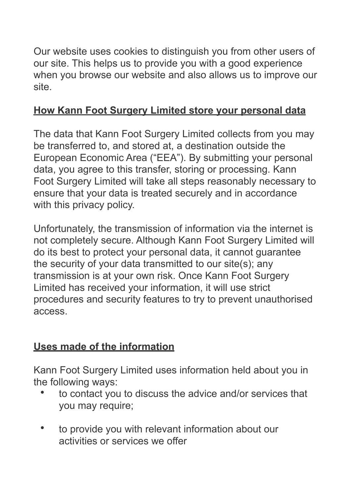Our website uses cookies to distinguish you from other users of our site. This helps us to provide you with a good experience when you browse our website and also allows us to improve our site.

# **How Kann Foot Surgery Limited store your personal data**

The data that Kann Foot Surgery Limited collects from you may be transferred to, and stored at, a destination outside the European Economic Area ("EEA"). By submitting your personal data, you agree to this transfer, storing or processing. Kann Foot Surgery Limited will take all steps reasonably necessary to ensure that your data is treated securely and in accordance with this privacy policy.

Unfortunately, the transmission of information via the internet is not completely secure. Although Kann Foot Surgery Limited will do its best to protect your personal data, it cannot guarantee the security of your data transmitted to our site(s); any transmission is at your own risk. Once Kann Foot Surgery Limited has received your information, it will use strict procedures and security features to try to prevent unauthorised access.

# **Uses made of the information**

Kann Foot Surgery Limited uses information held about you in the following ways:

- to contact you to discuss the advice and/or services that you may require;
- to provide you with relevant information about our activities or services we offer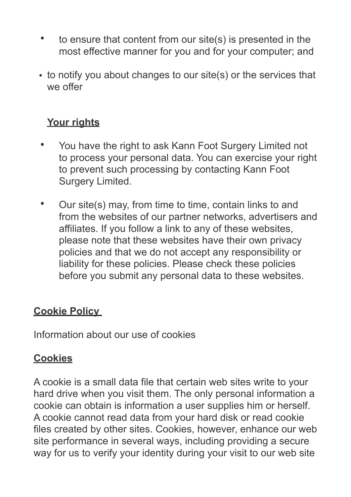- to ensure that content from our site(s) is presented in the most effective manner for you and for your computer; and
- to notify you about changes to our site(s) or the services that we offer

# **Your rights**

- You have the right to ask Kann Foot Surgery Limited not to process your personal data. You can exercise your right to prevent such processing by contacting Kann Foot Surgery Limited.
- Our site(s) may, from time to time, contain links to and from the websites of our partner networks, advertisers and affiliates. If you follow a link to any of these websites, please note that these websites have their own privacy policies and that we do not accept any responsibility or liability for these policies. Please check these policies before you submit any personal data to these websites.

## **Cookie Policy**

Information about our use of cookies

## **Cookies**

A cookie is a small data file that certain web sites write to your hard drive when you visit them. The only personal information a cookie can obtain is information a user supplies him or herself. A cookie cannot read data from your hard disk or read cookie files created by other sites. Cookies, however, enhance our web site performance in several ways, including providing a secure way for us to verify your identity during your visit to our web site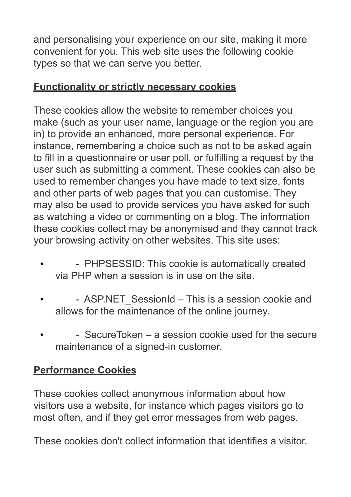and personalising your experience on our site, making it more convenient for you. This web site uses the following cookie types so that we can serve you better.

# **Functionality or strictly necessary cookies**

These cookies allow the website to remember choices you make (such as your user name, language or the region you are in) to provide an enhanced, more personal experience. For instance, remembering a choice such as not to be asked again to fill in a questionnaire or user poll, or fulfilling a request by the user such as submitting a comment. These cookies can also be used to remember changes you have made to text size, fonts and other parts of web pages that you can customise. They may also be used to provide services you have asked for such as watching a video or commenting on a blog. The information these cookies collect may be anonymised and they cannot track your browsing activity on other websites. This site uses:

- PHPSESSID: This cookie is automatically created via PHP when a session is in use on the site.
- ASP.NET SessionId This is a session cookie and allows for the maintenance of the online journey.
- - SecureToken a session cookie used for the secure maintenance of a signed-in customer.

# **Performance Cookies**

These cookies collect anonymous information about how visitors use a website, for instance which pages visitors go to most often, and if they get error messages from web pages.

These cookies don't collect information that identifies a visitor.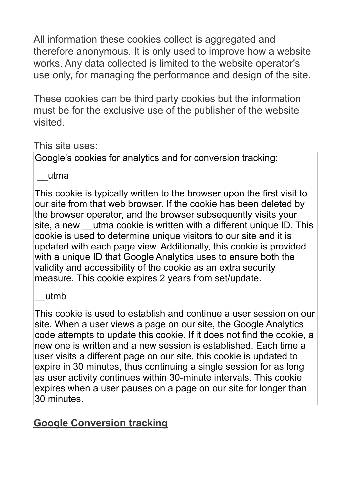All information these cookies collect is aggregated and therefore anonymous. It is only used to improve how a website works. Any data collected is limited to the website operator's use only, for managing the performance and design of the site.

These cookies can be third party cookies but the information must be for the exclusive use of the publisher of the website visited.

#### This site uses:

Google's cookies for analytics and for conversion tracking:

\_\_utma

This cookie is typically written to the browser upon the first visit to our site from that web browser. If the cookie has been deleted by the browser operator, and the browser subsequently visits your site, a new utma cookie is written with a different unique ID. This cookie is used to determine unique visitors to our site and it is updated with each page view. Additionally, this cookie is provided with a unique ID that Google Analytics uses to ensure both the validity and accessibility of the cookie as an extra security measure. This cookie expires 2 years from set/update.

\_\_utmb

This cookie is used to establish and continue a user session on our site. When a user views a page on our site, the Google Analytics code attempts to update this cookie. If it does not find the cookie, a new one is written and a new session is established. Each time a user visits a different page on our site, this cookie is updated to expire in 30 minutes, thus continuing a single session for as long as user activity continues within 30-minute intervals. This cookie expires when a user pauses on a page on our site for longer than 30 minutes.

# **Google Conversion tracking**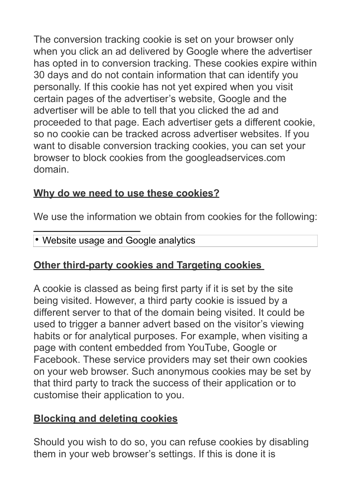The conversion tracking cookie is set on your browser only when you click an ad delivered by Google where the advertiser has opted in to conversion tracking. These cookies expire within 30 days and do not contain information that can identify you personally. If this cookie has not yet expired when you visit certain pages of the advertiser's website, Google and the advertiser will be able to tell that you clicked the ad and proceeded to that page. Each advertiser gets a different cookie, so no cookie can be tracked across advertiser websites. If you want to disable conversion tracking cookies, you can set your browser to block cookies from the googleadservices.com domain.

# **Why do we need to use these cookies?**

We use the information we obtain from cookies for the following:

#### • Website usage and Google analytics

## **Other third-party cookies and Targeting cookies**

i<br>L

A cookie is classed as being first party if it is set by the site being visited. However, a third party cookie is issued by a different server to that of the domain being visited. It could be used to trigger a banner advert based on the visitor's viewing habits or for analytical purposes. For example, when visiting a page with content embedded from YouTube, Google or Facebook. These service providers may set their own cookies on your web browser. Such anonymous cookies may be set by that third party to track the success of their application or to customise their application to you.

## **Blocking and deleting cookies**

Should you wish to do so, you can refuse cookies by disabling them in your web browser's settings. If this is done it is